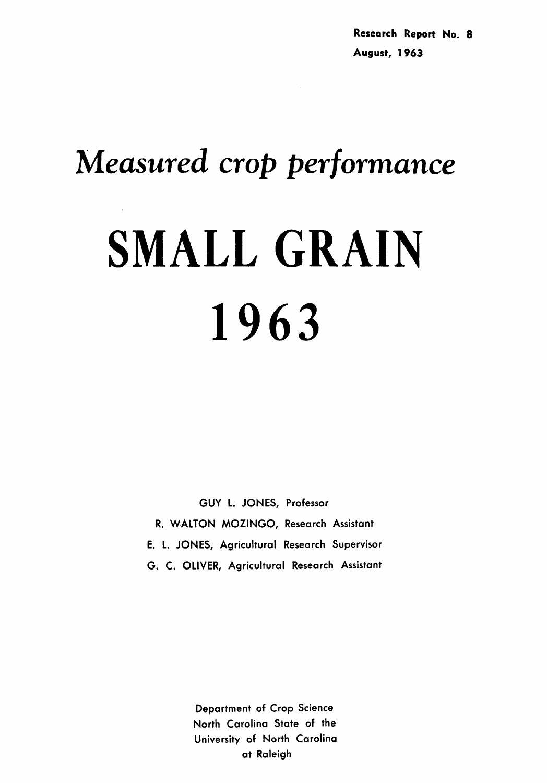# *Measured crop performance* SMALL GRAIN 1963

GUY L. JONES, Professor R. WALTON MOZINGO, Research Assistant E. L. JONES, Agricultural Research Supervisor G. C. OLIVER, Agricultural Research Assistant

> Department of Crop Science North Carolina State of the University of North Carolina at Raleigh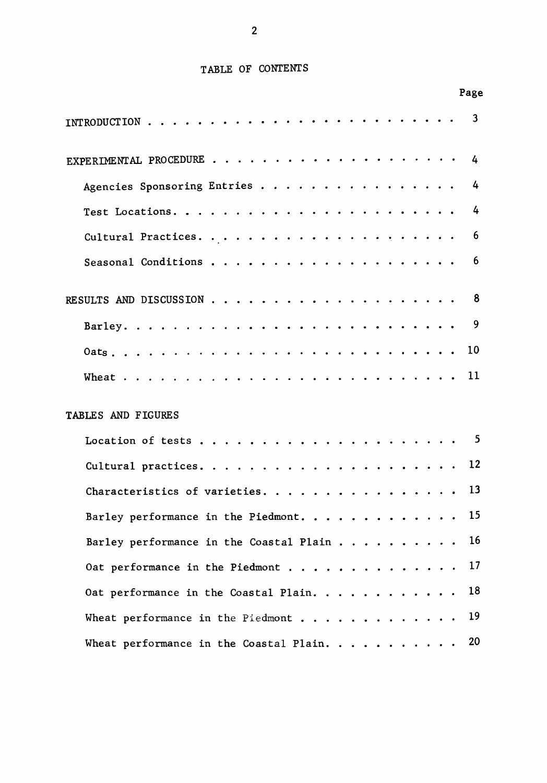# TABLE OF CONTENTS

Page

| <b>INTRODUCTION</b>                          |  |  |               |                      |        |                                    |                             |               |                      |           |           |   |  |  | 3  |
|----------------------------------------------|--|--|---------------|----------------------|--------|------------------------------------|-----------------------------|---------------|----------------------|-----------|-----------|---|--|--|----|
| EXPERIMENTAL PROCEDURE.                      |  |  |               |                      |        |                                    |                             |               |                      |           |           |   |  |  | 4  |
| Agencies Sponsoring Entries                  |  |  |               |                      |        |                                    |                             |               |                      |           |           |   |  |  | 4  |
| Test Locations. $\ldots$                     |  |  |               |                      | $\sim$ |                                    |                             | $\sim$ $\sim$ |                      |           |           |   |  |  | 4  |
| Cultural Practices.                          |  |  |               |                      |        |                                    |                             |               |                      | $\bullet$ | $\bullet$ |   |  |  | 6  |
| Seasonal Conditions                          |  |  |               |                      |        |                                    |                             |               |                      |           |           |   |  |  | 6  |
| RESULTS AND DISCUSSION                       |  |  |               |                      |        |                                    | $\ddot{\phantom{a}}$        |               |                      |           |           |   |  |  | 8  |
| Barley.                                      |  |  |               | $\ddot{\phantom{a}}$ |        | $\sim$ $\sim$ $\sim$               | $\ddot{\phantom{a}}$        |               |                      |           |           | . |  |  | 9  |
| Oats. .                                      |  |  | $\sim$ $\sim$ | $\ddot{\phantom{1}}$ |        | $\sim 100$ km s $^{-1}$            | $\sim$ $\sim$ $\sim$ $\sim$ |               | $\sim$ $\sim$ $\sim$ |           |           |   |  |  | 10 |
| Wheat.                                       |  |  |               |                      |        |                                    |                             |               |                      |           |           |   |  |  | 11 |
| <b>TABLES AND FIGURES</b>                    |  |  |               |                      |        |                                    |                             |               |                      |           |           |   |  |  |    |
| Location of tests                            |  |  |               |                      |        | $\sim$ $\sim$ $\sim$ $\sim$ $\sim$ | $\cdots$                    |               |                      |           |           |   |  |  | 5  |
| Cultural practices.                          |  |  |               |                      |        |                                    |                             |               |                      |           |           |   |  |  | 12 |
| Characteristics of varieties.                |  |  |               |                      |        |                                    |                             |               |                      |           |           |   |  |  | 13 |
| Barley performance in the Piedmont.          |  |  |               |                      |        |                                    |                             |               |                      |           |           |   |  |  | 15 |
| Barley performance in the Coastal Plain      |  |  |               |                      |        |                                    |                             |               |                      |           |           |   |  |  | 16 |
| Oat performance in the Piedmont              |  |  |               |                      |        |                                    |                             |               |                      | $\sim$    |           |   |  |  | 17 |
| Oat performance in the Coastal Plain.        |  |  |               |                      |        |                                    |                             |               |                      |           |           |   |  |  | 18 |
| Wheat performance in the Piedmont $\ldots$ . |  |  |               |                      |        |                                    |                             |               |                      |           |           |   |  |  | 19 |
| Wheat performance in the Coastal Plain.      |  |  |               |                      |        |                                    |                             |               |                      |           |           |   |  |  | 20 |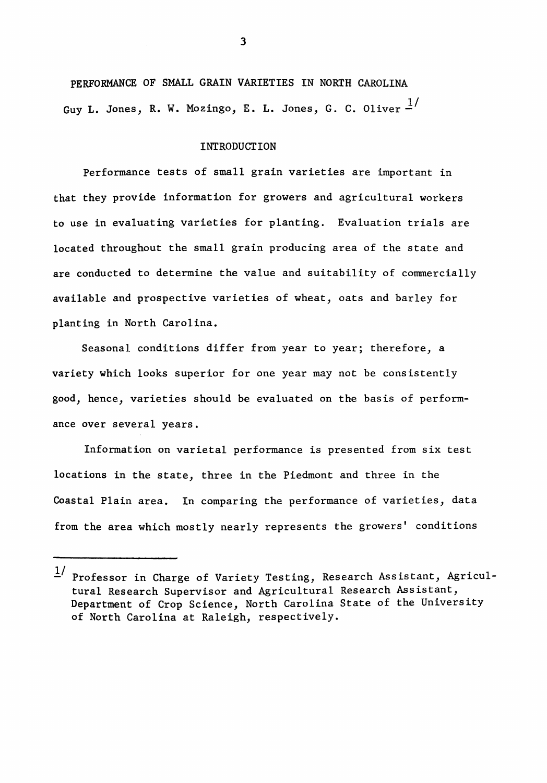PERFORMANCE OF SMALL GRAIN VARIETIES IN NORTH CAROLINA Guy L. Jones, R. W. Mozingo, E. L. Jones, G. C. Oliver  $\frac{1}{4}$ 

#### INTRODUCTION

Performance tests of small grain varieties are important in that they provide information for growers and agricultural workers to use in evaluating varieties for planting. Evaluation trials are located throughout the small grain producing area of the state and are conducted to determine the value and suitability of commercially available and prospective varieties of wheat, oats and barley for planting in North Carolina.

Seasonal conditions differ from year to year; therefore, a variety which looks superior for one year may not be consistently good, hence, varieties should be evaluated on the basis of performance over several years.

Information on varietal performance is presented from six test locations in the state, three in the Piedmont and three in the Coastal Plain area. In comparing the performance of varieties, data from the area which mostly nearly represents the growers' conditions

 $1/$  Professor in Charge of Variety Testing, Research Assistant, Agricultural Research Supervisor and Agricultural Research Assistant, Department of Crop Science, North Carolina State of the University of North Carolina at Raleigh, respectively.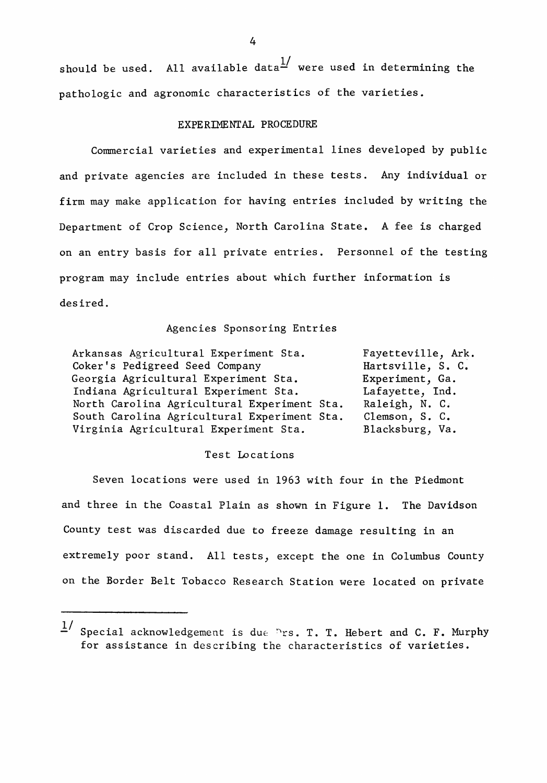should be used. All available data $\frac{1}{2}$  were used in determining the pathologic and agronomic characteristics of the varieties.

# EXPERIMENTAL PROCEDURE

Commercial varieties and experimental lines developed by public and private agencies are included in these tests. Any individual or firm may make application for having entries included by writing the Department of Crop Science, North Carolina State. A fee is charged on an entry basis for all private entries. Personnel of the testing program may include entries about which further information is desired.

### Agencies Sponsoring Entries

| Arkansas Agricultural Experiment Sta.       | Fayetteville, Ark. |
|---------------------------------------------|--------------------|
| Coker's Pedigreed Seed Company              | Hartsville, S. C.  |
| Georgia Agricultural Experiment Sta.        | Experiment, Ga.    |
| Indiana Agricultural Experiment Sta.        | Lafayette, Ind.    |
| North Carolina Agricultural Experiment Sta. | Raleigh, N. C.     |
| South Carolina Agricultural Experiment Sta. | Clemson, S. C.     |
| Virginia Agricultural Experiment Sta.       | Blacksburg, Va.    |

#### Test Locations

Seven locations were used in 1963 with four in the Piedmont and three in the Coastal Plain as shown in Figure 1. The Davidson County test was discarded due to freeze damage resulting in an extremely poor stand. All tests, except the one in Columbus County on the Border Belt Tobacco Research Station were located on private

 $1/$  Special acknowledgement is due  $\sum$ rs. T. T. Hebert and C. F. Murphy for assistance in describing the characteristics of varieties.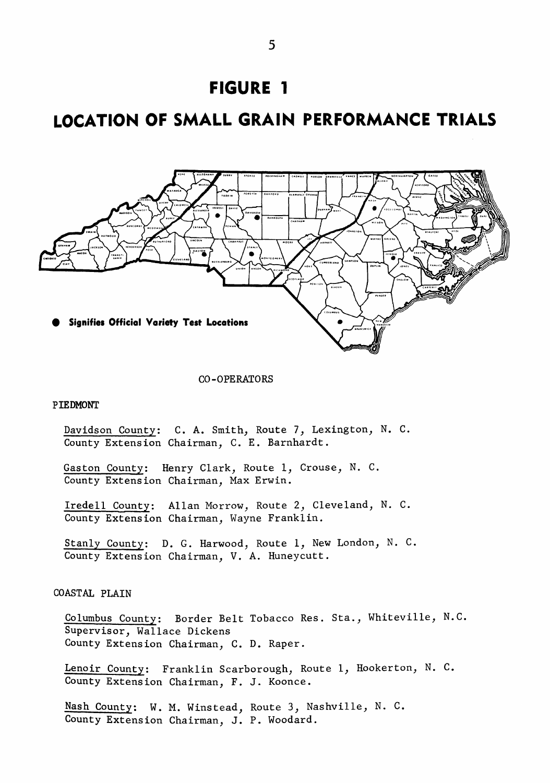

# **LOCATION OF SMALL GRAIN PERFORMANCE TRIALS**



CO-OPERATORS

#### **PIEDMONT**

Davidson County: C. A. Smith, Route 7, Lexington, N. C. County Extension Chairman, C. E. Barnhardt.

Gaston County: Henry Clark, Route 1, Crouse, N. C. County Extension Chairman, Max Erwin.

Iredell County: Allan Morrow, Route 2, Cleveland, N. C. County Extension Chairman, Wayne Franklin.

Stanly County: D. G. Harwood, Route 1, New London, N. C. County Extension Chairman, V. A. Huneycutt.

# COASTAL PLAIN

Columbus County: Border Belt Tobacco Res. Sta., Whiteville, N.C. Supervisor, Wallace Dickens County Extension Chairman, C. D. Raper.

Lenoir County: Franklin Scarborough, Route 1, Hookerton, N. C. County Extension Chairman, F. J. Koonce.

Nash County: W. M. Winstead, Route 3, Nashville, N. C. County Extension Chairman, J. P. Woodard.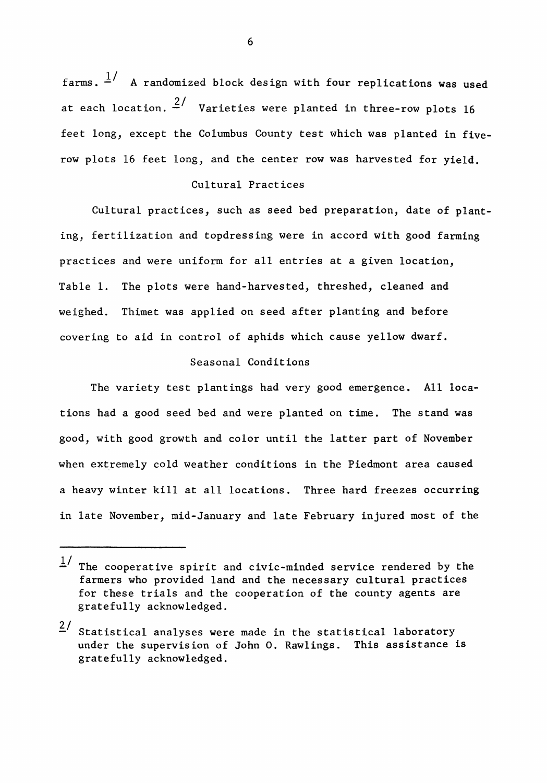farms.  $\frac{1}{4}$  A randomized block design with four replications was used at each location.  $\frac{2}{1}$  Varieties were planted in three-row plots 16 feet long, except the Columbus County test which was planted in fiverow plots 16 feet long, and the center row was harvested for yield.

# Cultural Practices

Cultural practices, such as seed bed preparation, date of planting, fertilization and topdressing were in accord with good farming practices and were uniform for all entries at a given location, Table 1. The plots were hand-harvested, threshed, cleaned and weighed. Thimet was applied on seed after planting and before covering to aid in control of aphids which cause yellow dwarf.

# Seasonal Conditions

The variety test plantings had very good emergence. All locations had a good seed bed and were planted on time. The stand was good, with good growth and color until the latter part of November when extremely cold weather conditions in the Piedmont area caused a heavy winter kill at all locations. Three hard freezes occurring in late November, mid-January and late February injured most of the

 $\frac{1}{s}$  The cooperative spirit and civic-minded service rendered by the farmers who provided land and the necessary cultural practices for these trials and the cooperation of the county agents are gratefully acknowledged.

 $2/$  Statistical analyses were made in the statistical laboratory under the supervision of John o. Rawlings. This assistance is gratefully acknowledged.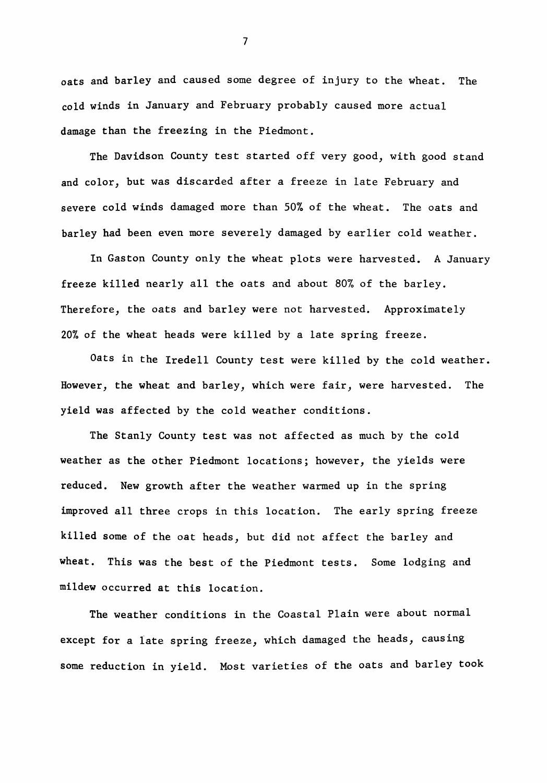oats and barley and caused some degree of injury to the wheat. The cold winds in January and February probably caused more actual damage than the freezing in the Piedmont.

The Davidson County test started off very good, with good stand and color, but was discarded after a freeze in late February and severe cold winds damaged more than 50% of the wheat. The oats and barley had been even more severely damaged by earlier cold weather.

In Gaston County only the wheat plots were harvested. A January freeze killed nearly all the oats and about 80% of the barley. Therefore, the oats and barley were not harvested. Approximately 20% of the wheat heads were killed by a late spring freeze.

Oats in the Iredell County test were killed by the cold weather. However, the wheat and barley, which were fair, were harvested. The yield was affected by the cold weather conditions.

The Stanly County test was not affected as much by the cold weather as the other Piedmont locations; however, the yields were reduced. New growth after the weather warmed up in the spring improved all three crops in this location. The early spring freeze killed some of the oat heads, but did not affect the barley and wheat. This was the best of the Piedmont tests. Some lodging and mildew occurred at this location.

The weather conditions in the Coastal Plain were about normal except for a late spring freeze, which damaged the heads, causing some reduction in yield. Most varieties of the oats and barley took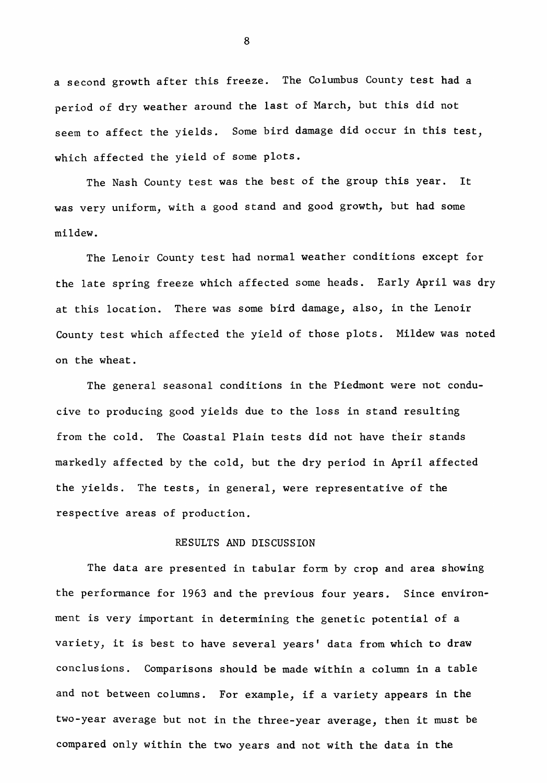a second growth after this freeze. The Columbus County test had a period of dry weather around the last of March, but this did not seem to affect the yields. Some bird damage did occur in this test, which affected the yield of some plots.

The Nash County test was the best of the group this year. It was very uniform, with a good stand and good growth, but had some mildew.

The Lenoir County test had normal weather conditions except for the late spring freeze which affected some heads. Early April was dry at this location. There was some bird damage, also, in the Lenoir County test which affected the yield of those plots. Mildew was noted on the wheat.

The general seasonal conditions in the Piedmont were not conducive to producing good yields due to the loss in stand resulting from the cold. The Coastal Plain tests did not have their stands markedly affected by the cold, but the dry period in April affected the yields. The tests, in general, were representative of the respective areas of production.

# RESULTS AND DISCUSSION

The data are presented in tabular form by crop and area showing the performance for 1963 and the previous four years. Since environment is very important in determining the genetic potential of a variety, it is best to have several years' data from which to draw conclusions. Comparisons should be made within a column in a table and not between columns. For example, if <sup>a</sup> variety appears in the two-year average but not in the three-year average, then it must be compared only within the two years and not with the data in the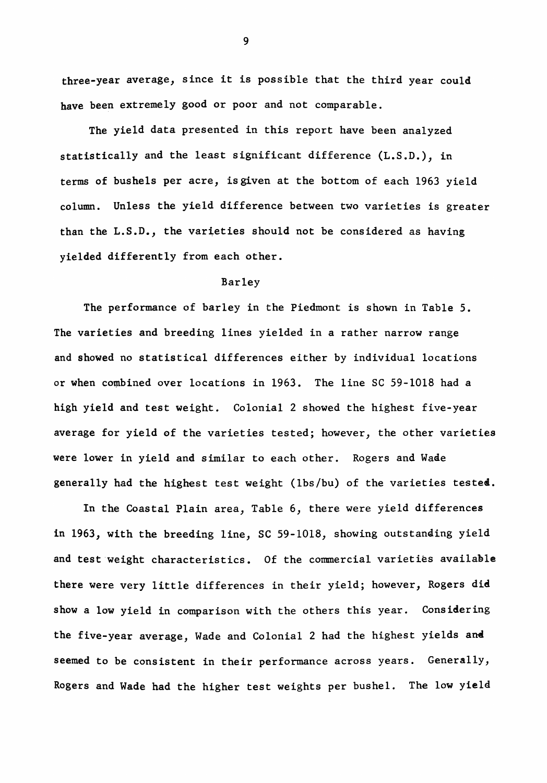three-year average, since it is possible that the third year could have been extremely good or poor and not comparable.

The yield data presented in this report have been analyzed statistically and the least significant difference (L.S.D.), in terms of bushels per acre, isgiven at the bottom of each 1963 yield column. Unless the yield difference between two varieties is greater than the  $L.S.D.,$  the varieties should not be considered as having yielded differently from each other.

#### Barley

The performance of barley in the Piedmont is shown in Table 5. The varieties and breeding lines yielded in a rather narrow range and showed no statistical differences either by individual locations or when combined over locations in 1963. The line SC 59-1018 had a high yield and test weight. Colonial 2 showed the highest five-year average for yield of the varieties tested; however, the other varieties were lower in yield and similar to each other. Rogers and Wade generally had the highest test weight (lbs/bu) of the varieties tested.

In the Coastal Plain area, Table 6, there were yield differences in 1963, with the breeding line, SC 59-1018, showing outstanding yield and test 'weight characteristics. Of the commercial varieties availahle there were very little differences in their yield; however, Rogers die show a low yield in comparison with the others this year. Considering the five-year average, Wade and Colonial 2 had the highest yields and seemed to be consistent in their performance across years. Generally, Rogers and Wade had the higher test weights per bushel. The low yield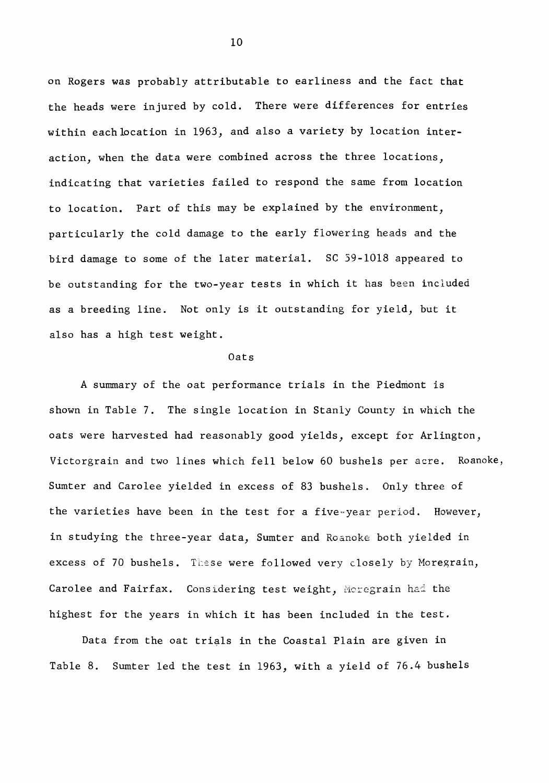on Rogers was probably attributable to earliness and the fact that the heads were injured by cold. There were differences for entries within each location in 1963, and also a variety by location interaction, when the data were combined across the three locations, indicating that varieties failed to respond the same from location to location. Part of this may be explained by the environment, particularly the cold damage to the early flowering heads and the bird damage to some of the later material. SC 59-1018 appeared to be outstanding for the two-year tests in which it has been included as <sup>a</sup> breeding line. Not only is it outstanding for yield, but it also has a high test weight.

#### Oats

A summary of the oat performance trials in the Piedmont is shown in Table 7. The single location in Stanly County in which the oats were harvested had reasonably good yields, except for Arlington, Victorgrain and two lines which fell below 60 bushels per acre. Roanoke, Sumter and Carolee yielded in excess of 83 bushels. Only three of the varieties have been in the test for a five-year period. However, in studying the three-year data, Sumter and Roanoke both yielded in excess of 70 bushels. These were followed very closely by Moregrain, Carolee and Fairfax. Considering test weight, Moregrain had the highest for the years in which it has been included in the test.

Data from the oat trials in the Coastal Plain are given in Table 8. Sumter led the test in 1963, with a yield of 76.4 bushels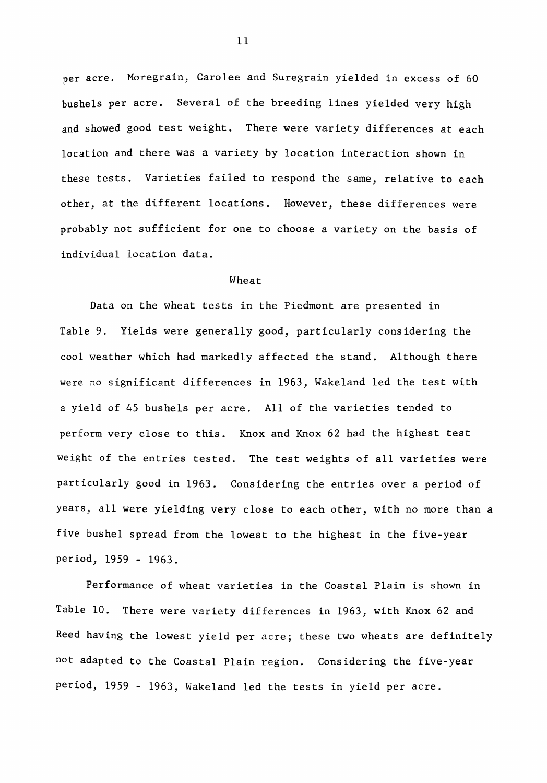per acre. Moregrain, Carolee and Suregrain yielded in excess of 60 bushels per acre. Several of the breeding lines yielded very high and showed good test weight. There were variety differences at each location and there was a variety by location interaction shown in these tests. Varieties failed to respond the same, relative to each other, at the different locations. However, these differences were probably not sufficient for one to choose a variety on the basis of individual location data.

#### Wheat

Data on the wheat tests in the Piedmont are presented in Table 9. Yields were generally good, particularly considering the cool weather which had markedly affected the stand. Although there were no significant differences in 1963, Wakeland led the test with a yield,of 45 bushels per acre. All of the varieties tended to perform very close to this. Knox and Knox 62 had the highest test weight of the entries tested. The test weights of all varieties were particularly good in 1963. Considering the entries over a period of years, all were yielding very close to each other, with no more than a five bushel spread from the lowest to the highest in the five-year period, 1959 - 1963.

Performance of wheat varieties in the Coastal Plain is shown in Table 10. There were variety differences in 1963, with Knox 62 and Reed having the lowest yield per acre; these two wheats are definitely not adapted to the Coastal Plain region. Considering the five-year period, 1959 - 1963, Wakeland led the tests in yield per acre.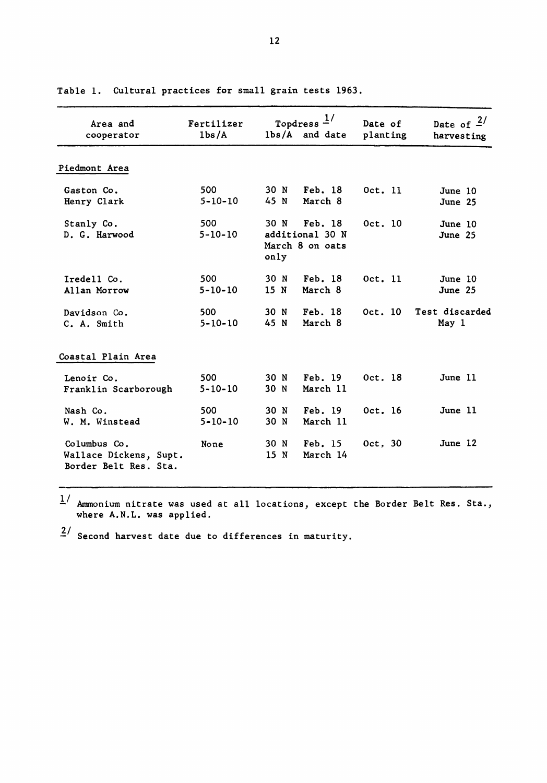| Area and<br>cooperator                                          | Fertilizer<br>1 <sub>bs</sub> /A | Topdress $1/$<br>lbs/A and date                               | Date of<br>planting | Date of $2/$<br>harvesting |
|-----------------------------------------------------------------|----------------------------------|---------------------------------------------------------------|---------------------|----------------------------|
| Piedmont Area                                                   |                                  |                                                               |                     |                            |
| Gaston Co.<br>Henry Clark                                       | 500<br>$5 - 10 - 10$             | 30 N<br>Feb. 18<br>45 N<br>March 8                            | Oct. 11             | June 10<br>June 25         |
| Stanly Co.<br>D. G. Harwood                                     | 500<br>$5 - 10 - 10$             | 30 N<br>Feb. 18<br>additional 30 N<br>March 8 on oats<br>only | Oct. 10             | June 10<br>June 25         |
| Iredell Co.<br>Allan Morrow                                     | 500<br>$5 - 10 - 10$             | Feb. 18<br>30 N<br>15 N<br>March 8                            | Oct. 11             | June 10<br>June 25         |
| Davidson Co.<br>C. A. Smith                                     | 500<br>$5 - 10 - 10$             | 30 N<br>Feb. 18<br>45 N<br>March 8                            | 0ct.10              | Test discarded<br>May 1    |
| Coastal Plain Area                                              |                                  |                                                               |                     |                            |
| Lenoir Co.<br>Franklin Scarborough                              | 500<br>$5 - 10 - 10$             | 30 N<br>Feb. 19<br>30 N<br>March 11                           | Oct. 18             | June 11                    |
| Nash Co.<br>W. M. Winstead                                      | 500<br>$5 - 10 - 10$             | Feb. 19<br>30 N<br>30 N<br>March 11                           | Oct. 16             | June 11                    |
| Columbus Co.<br>Wallace Dickens, Supt.<br>Border Belt Res. Sta. | None                             | Feb. 15<br>30 N<br>15 N<br>March 14                           | Oct. 30             | June 12                    |

Table 1. Cultural practices for small grain tests 1963.

 $\frac{1}{n}$  Ammonium nitrate was used at all locations, except the Border Belt Res. Sta., where A.N.L. was applied.

*l/* Second harvest date due to differences in maturity.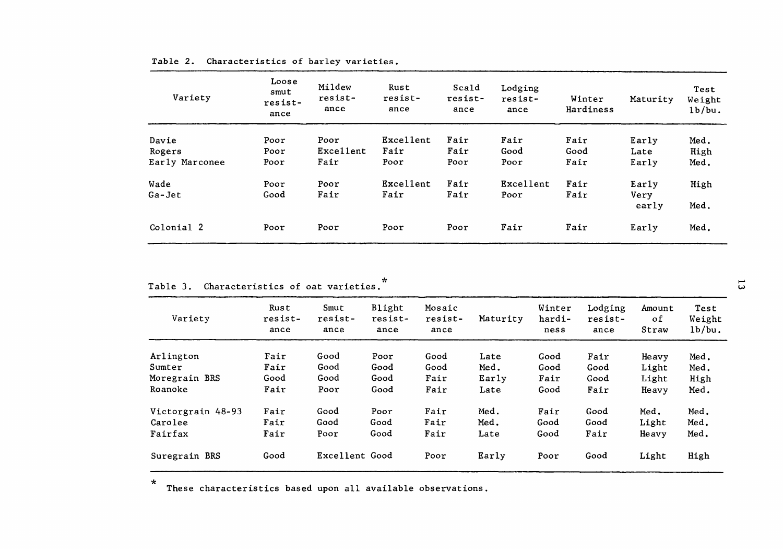| Variety        | Loose<br>smut<br>resist-<br>ance | Mildew<br>resist-<br>ance | Rust<br>resist-<br>ance | Scald<br>resist-<br>ance | Lodging<br>resist-<br>ance | Winter<br>Hardiness | Maturity      | Test<br>Weight<br>1b/bu. |
|----------------|----------------------------------|---------------------------|-------------------------|--------------------------|----------------------------|---------------------|---------------|--------------------------|
| Davie          | Poor                             | Poor                      | Excellent               | Fair                     | Fair                       | Fair                | Early         | Med.                     |
| Rogers         | Poor                             | Excellent                 | Fair                    | Fair                     | Good                       | Good                | Late          | High                     |
| Early Marconee | Poor                             | Fair                      | Poor                    | Poor                     | Poor                       | Fair                | Early         | Med.                     |
| Wade           | Poor                             | Poor                      | Excellent               | Fair                     | Excellent                  | Fair                | Early         | High                     |
| Ga-Jet         | Good                             | Fair                      | Fair                    | Fair                     | Poor                       | Fair                | Very<br>early | Med.                     |
| Colonial 2     | Poor                             | Poor                      | Poor                    | Poor                     | Fair                       | Fair                | Early         | Med.                     |

#### Table 2. Characteristics of barley varieties.

| Variety           | Rust<br>resist-<br>ance | Smut<br>resist-<br>ance | Blight<br>resist-<br>ance | Mosaic<br>resist-<br>ance | Maturity | Winter<br>hardi-<br>ness | Lodging<br>resist-<br>ance | Amount<br>оf<br>Straw | Test<br>Weight<br>1b/bu. |
|-------------------|-------------------------|-------------------------|---------------------------|---------------------------|----------|--------------------------|----------------------------|-----------------------|--------------------------|
| Arlington         | Fair                    | Good                    | Poor                      | Good                      | Late     | Good                     | Fair                       | Heavy                 | Med.                     |
| Sumter            | Fair                    | Good                    | Good                      | Good                      | Med.     | Good                     | Good                       | Light                 | Med.                     |
| Moregrain BRS     | Good                    | Good                    | Good                      | Fair                      | Early    | Fair                     | Good                       | Light                 | High                     |
| Roanoke           | Fair                    | Poor                    | Good                      | Fair                      | Late     | Good                     | Fair                       | Heavy                 | Med.                     |
| Victorgrain 48-93 | Fair                    | Good                    | Poor                      | Fair                      | Med.     | Fair                     | Good                       | Med.                  | Med.                     |
| Carolee           | Fair                    | Good                    | Good                      | Fair                      | Med.     | Good                     | Good                       | Light                 | Med.                     |
| Fairfax           | Fair                    | Poor                    | Good                      | Fair                      | Late     | Good                     | Fair                       | Heavy                 | Med.                     |
| Suregrain BRS     | Good                    | Excellent Good          |                           | Poor                      | Early    | Poor                     | Good                       | Light                 | High                     |

\* These characteristics based upon all available observations.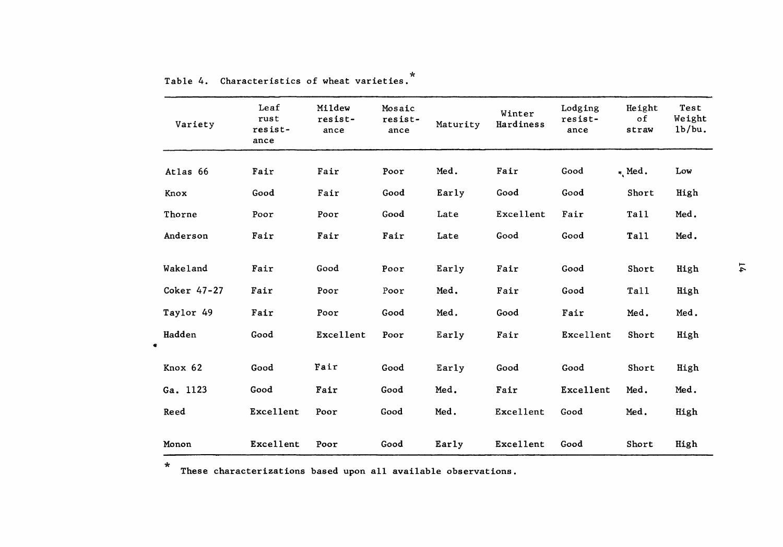| Variety     | Leaf<br>rust<br>resist-<br>ance | Mildew<br>resist-<br>ance | Mosaic<br>resist-<br>ance | Maturity | Winter<br>Hardiness | Lodging<br>resist-<br>ance | Height<br>оf<br>straw | Test<br>Weight<br>1b/bu. |    |
|-------------|---------------------------------|---------------------------|---------------------------|----------|---------------------|----------------------------|-----------------------|--------------------------|----|
| Atlas 66    | Fair                            | Fair                      | Poor                      | Med.     | Fair                | Good                       | $*$ Med.              | Low                      |    |
| Knox        | Good                            | Fair                      | Good                      | Early    | Good                | Good                       | Short                 | High                     |    |
| Thorne      | Poor                            | Poor                      | Good                      | Late     | Excellent           | Fair                       | <b>Tall</b>           | Med.                     |    |
| Anderson    | Fair                            | Fair                      | Fair                      | Late     | Good                | Good                       | Ta11                  | Med.                     |    |
| Wakeland    | Fair                            | Good                      | Poor                      | Early    | Fair                | Good                       | Short                 | High                     | 74 |
| Coker 47-27 | Fair                            | Poor                      | Poor                      | Med.     | Fair                | Good                       | Tall                  | High                     |    |
| Taylor 49   | Fair                            | Poor                      | Good                      | Med.     | Good                | Fair                       | Med.                  | Med.                     |    |
| Hadden<br>۰ | Good                            | <b>Excellent</b>          | Poor                      | Early    | Fair                | Excellent                  | Short                 | High                     |    |
| Knox 62     | Good                            | Fair                      | Good                      | Early    | Good                | Good                       | Short                 | High                     |    |
| Ga. 1123    | Good                            | Fair                      | Good                      | Med.     | Fair                | Excellent                  | Med.                  | Med.                     |    |
| Reed        | Excellent                       | Poor                      | Good                      | Med.     | Excellent           | Good                       | Med.                  | High                     |    |
| Monon       | Excellent                       | Poor                      | Good                      | Early    | Excellent           | Good                       | Short                 | High                     |    |

Table 4. Characteristics of wheat varieties.

\* These characterizations based upon all available observations.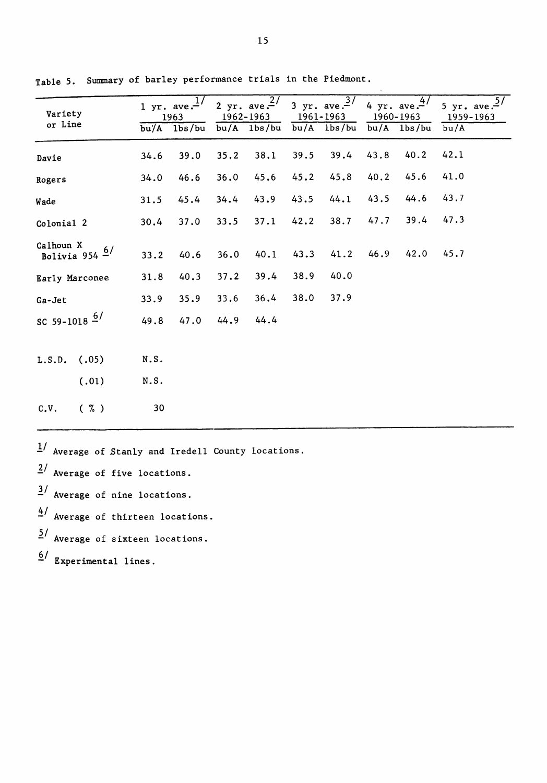| Variety<br>or Line |                  |              | 1 yr. ave. $\frac{1}{2}$<br>1963<br>$\overline{bu/A}$ $1\overline{bs/bu}$ |      | 2 yr. ave. $\frac{27}{1}$<br>1962-1963<br>$bu/A$ $1bs/bu$ | 1961-1963 | 3 yr. ave. $\frac{3}{7}$<br>$bu/A$ $1bs/bu$ |      | 4 yr. ave. $\frac{4}{7}$<br>1960-1963<br>$bu/A$ 1bs/bu | 5 yr. ave. $\frac{5}{10}$<br>1959-1963<br>bu/A |
|--------------------|------------------|--------------|---------------------------------------------------------------------------|------|-----------------------------------------------------------|-----------|---------------------------------------------|------|--------------------------------------------------------|------------------------------------------------|
| Davie              |                  | 34.6         | 39.0                                                                      | 35.2 | 38.1                                                      | 39.5      | 39.4                                        | 43.8 | 40.2                                                   | 42.1                                           |
| Rogers             |                  | 34.0         | 46.6                                                                      | 36.0 | 45.6                                                      | 45.2      | 45.8                                        | 40.2 | 45.6                                                   | 41.0                                           |
| Wade               |                  | 31.5         | 45.4                                                                      | 34.4 | 43.9                                                      | 43.5      | 44.1                                        | 43.5 | 44.6                                                   | 43.7                                           |
| Colonial 2         |                  | 30.4         | 37.0                                                                      | 33.5 | 37.1                                                      | 42.2      | 38.7                                        | 47.7 | 39.4                                                   | 47.3                                           |
| Calhoun X          | Bolivia 954 $6/$ | 33.2         | 40.6                                                                      | 36.0 | 40.1                                                      | 43.3      | 41.2                                        | 46.9 | 42.0                                                   | 45.7                                           |
| Early Marconee     |                  | 31.8         | 40.3                                                                      | 37.2 | 39.4                                                      | 38.9      | 40.0                                        |      |                                                        |                                                |
| Ga-Jet             |                  | 33.9         | 35.9                                                                      | 33.6 | 36.4                                                      | 38.0      | 37.9                                        |      |                                                        |                                                |
| SC 59-1018 $6/$    |                  | 49.8         | 47.0                                                                      | 44.9 | 44.4                                                      |           |                                             |      |                                                        |                                                |
| $L.S.D.$ (.05)     | (.01)            | N.S.<br>N.S. |                                                                           |      |                                                           |           |                                             |      |                                                        |                                                |
| C.V.               | $(\% )$          | 30           |                                                                           |      |                                                           |           |                                             |      |                                                        |                                                |

Table 5. Summary of barley performance trials in the Piedmont.

 $1/$  Average of Stanly and Iredell County locations.

 $\frac{2}{\pi}$  Average of five locations.

- $\frac{3}{4}$  Average of nine locations.
- $4/$  Average of thirteen locations.
- <sup>2</sup>/ Average of sixteen locations.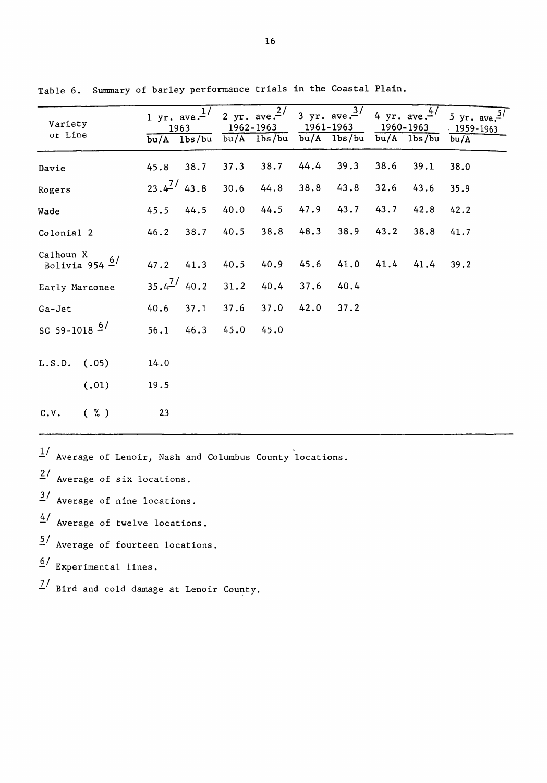| Variety<br>or Line            |       |                 | 1 yr. ave. $\frac{1}{l}$<br>1963<br>$bu/A$ $1bs/bu$ |      | 1962-1963<br>$bu/A$ $1bs/bu$ | 1961–1963 | 2 yr. ave. $\frac{2}{7}$ 3 yr. ave. $\frac{3}{7}$ 4 yr. ave. $\frac{4}{7}$<br>$bu/A$ $1bs/bu$ |      | 1960-1963<br>$bu/A$ $1bs/bu$ | 5 yr. ave. $\frac{5}{7}$<br>$1959 - 1963$<br>bu/A |
|-------------------------------|-------|-----------------|-----------------------------------------------------|------|------------------------------|-----------|-----------------------------------------------------------------------------------------------|------|------------------------------|---------------------------------------------------|
| Davie                         |       | 45.8            | 38.7                                                | 37.3 | 38.7                         | 44.4      | 39.3                                                                                          | 38.6 | 39.1                         | 38.0                                              |
| Rogers                        |       | $23.4^{7/43.8}$ |                                                     | 30.6 | 44.8                         | 38.8      | 43.8                                                                                          | 32.6 | 43.6                         | 35.9                                              |
| Wade                          |       | 45.5            | 44.5                                                | 40.0 | 44.5                         | 47.9      | 43.7                                                                                          | 43.7 | 42.8                         | 42.2                                              |
| Colonial 2                    |       | 46.2            | 38.7                                                | 40.5 | 38.8                         | 48.3      | 38.9                                                                                          | 43.2 | 38.8                         | 41.7                                              |
| Calhoun X<br>Bolivia 954 $6/$ |       |                 | 47.2 41.3                                           | 40.5 | 40.9                         | 45.6      | 41.0                                                                                          | 41.4 | 41.4                         | 39.2                                              |
| Early Marconee                |       | $35.4^{2/40.2}$ |                                                     | 31.2 | 40.4                         | 37.6      | 40.4                                                                                          |      |                              |                                                   |
| Ga-Jet                        |       | 40.6            | 37.1                                                | 37.6 | 37.0                         | 42.0      | 37.2                                                                                          |      |                              |                                                   |
| SC 59-1018 $6/$               |       | 56.1            | 46.3                                                | 45.0 | 45.0                         |           |                                                                                               |      |                              |                                                   |
| $L.S.D.$ (.05)                |       | 14.0            |                                                     |      |                              |           |                                                                                               |      |                              |                                                   |
|                               | (.01) | 19.5            |                                                     |      |                              |           |                                                                                               |      |                              |                                                   |
| C.V.                          | ( 7)  | 23              |                                                     |      |                              |           |                                                                                               |      |                              |                                                   |

Table 6. Summary of barley performance trials in the Coastal Plain.

 $1/$  Average of Lenoir, Nash and Columbus County locations.

 $2/$  Average of six locations.

 $\frac{3}{ }$  Average of nine locations.

- $4/$  Average of twelve locations.
- 2/ Average of fourteen locations.

 $6/$  Experimental lines.

 $\frac{7}{16}$  Bird and cold damage at Lenoir County.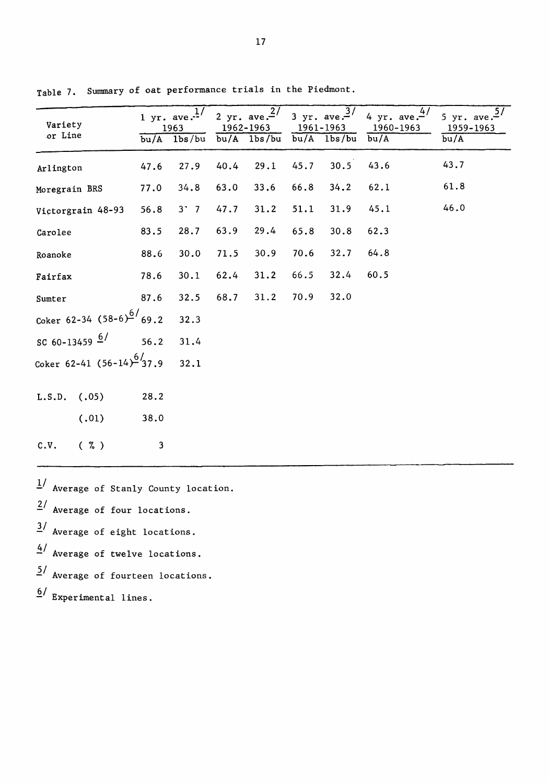| Variety<br>or Line             |      | 1 yr. ave. $\frac{1}{4}$<br>1963<br>$\overline{bu/A}$ 1bs/bu |      | 2 yr. ave. $\frac{27}{ }$<br>1962-1963<br>$bu/A$ 1bs/bu |      | 3 yr. ave. $\frac{3}{7}$<br>1961–1963<br>$bu/A$ $1bs/bu$ | 4/<br>4 yr. ave. $-$ '<br>1960-1963<br>bu/A | 5/<br>5 yr. ave. $-$<br>1959-1963<br>bu/A |
|--------------------------------|------|--------------------------------------------------------------|------|---------------------------------------------------------|------|----------------------------------------------------------|---------------------------------------------|-------------------------------------------|
| Arlington                      | 47.6 | 27.9                                                         | 40.4 | 29.1                                                    | 45.7 | 30.5                                                     | 43.6                                        | 43.7                                      |
| Moregrain BRS                  | 77.0 | 34.8                                                         | 63.0 | 33.6                                                    | 66.8 | 34.2                                                     | 62.1                                        | 61.8                                      |
| Victorgrain 48-93              | 56.8 | $3'$ 7                                                       | 47.7 | 31.2                                                    | 51.1 | 31.9                                                     | 45.1                                        | 46.0                                      |
| Carolee                        | 83.5 | 28.7                                                         | 63.9 | 29.4                                                    | 65.8 | 30.8                                                     | 62.3                                        |                                           |
| Roanoke                        | 88.6 | 30.0                                                         | 71.5 | 30.9                                                    | 70.6 | 32.7                                                     | 64.8                                        |                                           |
| Fairfax                        | 78.6 | 30.1                                                         | 62.4 | 31.2                                                    | 66.5 | 32.4                                                     | 60.5                                        |                                           |
| Sumter                         | 87.6 | 32.5                                                         | 68.7 | 31.2                                                    | 70.9 | 32.0                                                     |                                             |                                           |
| Coker 62-34 $(58-6)^6/69.2$    |      | 32.3                                                         |      |                                                         |      |                                                          |                                             |                                           |
| SC 60-13459 $\frac{6}{ }$ 56.2 |      | 31.4                                                         |      |                                                         |      |                                                          |                                             |                                           |
| Coker 62-41 $(56-14)^6/37.9$   |      | 32.1                                                         |      |                                                         |      |                                                          |                                             |                                           |
| $L.S.D.$ (.05)                 | 28.2 |                                                              |      |                                                         |      |                                                          |                                             |                                           |
| (.01)                          | 38.0 |                                                              |      |                                                         |      |                                                          |                                             |                                           |
| $(\% )$<br>C.V.                | 3    |                                                              |      |                                                         |      |                                                          |                                             |                                           |

Table 7. Summary of oat performance trials in the Piedmont.

 $\frac{1}{4}$  Average of Stanly County location.

 $\frac{2}{1}$  Average of four locations.

 $\frac{3}{4}$  Average of eight locations.

 $4/$  Average of twelve locations.

 $5/$  Average of fourteen locations.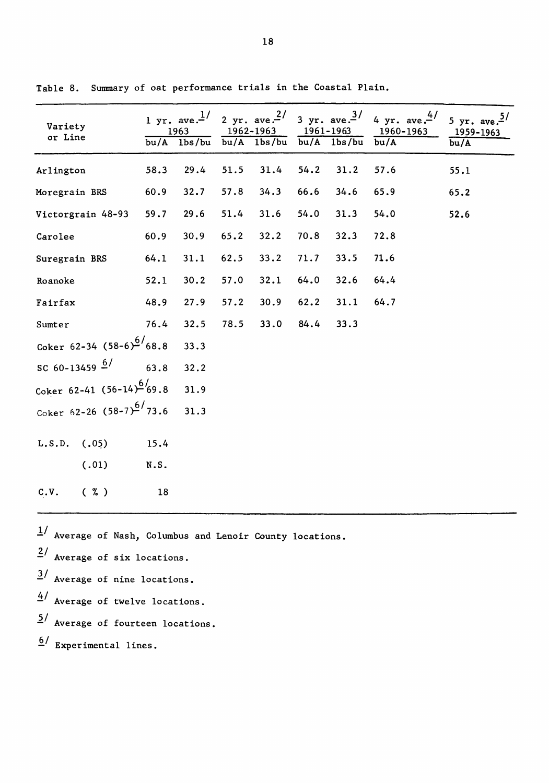| Variety<br>or Line            | bu/A | 1 yr. ave. $^{1/}$<br>1963<br>1 <sub>bs</sub> /bu |      | 1962-1963<br>$\overline{bu/A}$ 1bs/bu | 1961-1963<br>bu/A | lbs/bu | 2 yr. ave. $\frac{2}{3}$ yr. ave. $\frac{3}{4}$ 4 yr. ave. $\frac{4}{5}$<br>1960-1963<br>bu/A | 5 yr. ave. <sup>5/</sup><br>1959-1963<br>bu/A |
|-------------------------------|------|---------------------------------------------------|------|---------------------------------------|-------------------|--------|-----------------------------------------------------------------------------------------------|-----------------------------------------------|
| Arlington                     | 58.3 | 29.4                                              | 51.5 | 31.4                                  | 54.2              | 31.2   | 57.6                                                                                          | 55.1                                          |
| Moregrain BRS                 | 60.9 | 32.7                                              | 57.8 | 34.3                                  | 66.6              | 34.6   | 65.9                                                                                          | 65.2                                          |
| Victorgrain 48-93             | 59.7 | 29.6                                              | 51.4 | 31.6                                  | 54.0              | 31.3   | 54.0                                                                                          | 52.6                                          |
| Carolee                       | 60.9 | 30.9                                              | 65.2 | 32.2                                  | 70.8              | 32.3   | 72.8                                                                                          |                                               |
| Suregrain BRS                 | 64.1 | 31.1                                              | 62.5 | 33.2                                  | 71.7              | 33.5   | 71.6                                                                                          |                                               |
| Roanoke                       | 52.1 | 30.2                                              | 57.0 | 32.1                                  | 64.0              | 32.6   | 64.4                                                                                          |                                               |
| Fairfax                       | 48.9 | 27.9                                              | 57.2 | 30.9                                  | 62.2              | 31.1   | 64.7                                                                                          |                                               |
| Sumter                        | 76.4 | 32.5                                              | 78.5 | 33.0                                  | 84.4              | 33.3   |                                                                                               |                                               |
| Coker 62-34 $(58-6)^6/68.8$   |      | 33.3                                              |      |                                       |                   |        |                                                                                               |                                               |
| SC 60-13459 $\frac{6}{ }$     | 63.8 | 32.2                                              |      |                                       |                   |        |                                                                                               |                                               |
| Coker 62-41 $(56-14)^6/69.8$  |      | 31.9                                              |      |                                       |                   |        |                                                                                               |                                               |
| Coker 62-26 $(58-7)^{6/73.6}$ |      | 31.3                                              |      |                                       |                   |        |                                                                                               |                                               |
| L.S.D.<br>(.05)               | 15.4 |                                                   |      |                                       |                   |        |                                                                                               |                                               |
| (.01)                         | N.S. |                                                   |      |                                       |                   |        |                                                                                               |                                               |
| C.V.<br>$(\% )$               | 18   |                                                   |      |                                       |                   |        |                                                                                               |                                               |

Table 8. Summary of oat performance trials in the Coastal Plain.

*11* Average of Nash, Columbus and Lenoir County locations.

<sup>2</sup>/ Average of six locations.

*11* Average of nine locations.

<sup>4</sup>/ Average of twelve locations.

 $5/$  Average of fourteen locations.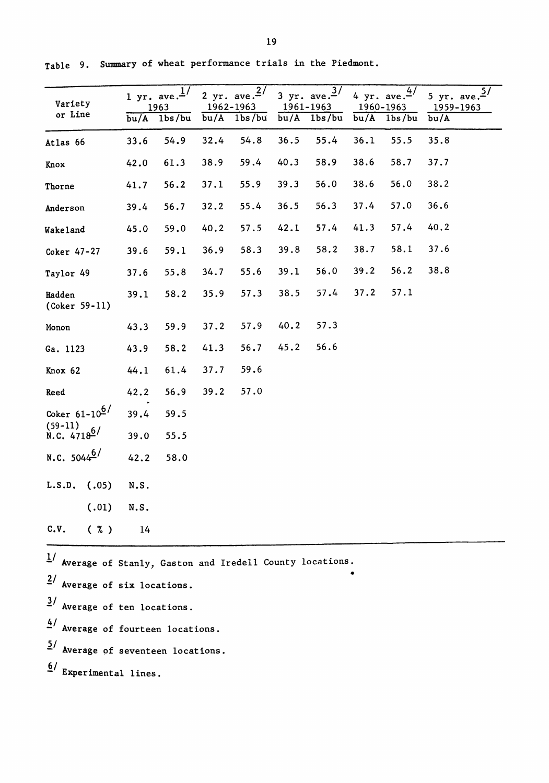| Variety<br>or Line                                           | bu/A | 1 yr. ave. $\frac{1}{2}$<br>1963<br>1 <sub>bs</sub> /bu |      | 2 yr. ave. $\frac{27}{16}$<br>1962-1963<br>$bu/A$ 1bs/bu | bu/A | 3 yr. ave. $\frac{3}{7}$<br>1961-1963<br>1 <sub>bs</sub> /bu | bu/A | 4 yr. ave. $\frac{4}{1}$<br>1960-1963<br>1 <sub>bs</sub> /bu | 5 yr. ave. $\frac{57}{167}$<br>1959-1963<br>bu/A |
|--------------------------------------------------------------|------|---------------------------------------------------------|------|----------------------------------------------------------|------|--------------------------------------------------------------|------|--------------------------------------------------------------|--------------------------------------------------|
| Atlas 66                                                     | 33.6 | 54.9                                                    | 32.4 | 54.8                                                     | 36.5 | 55.4                                                         | 36.1 | 55.5                                                         | 35.8                                             |
| Knox                                                         | 42.0 | 61.3                                                    | 38.9 | 59.4                                                     | 40.3 | 58.9                                                         | 38.6 | 58.7                                                         | 37.7                                             |
| Thorne                                                       | 41.7 | 56.2                                                    | 37.1 | 55.9                                                     | 39.3 | 56.0                                                         | 38.6 | 56.0                                                         | 38.2                                             |
| Anderson                                                     | 39.4 | 56.7                                                    | 32.2 | 55.4                                                     | 36.5 | 56.3                                                         | 37.4 | 57.0                                                         | 36.6                                             |
| Wakeland                                                     | 45.0 | 59.0                                                    | 40.2 | 57.5                                                     | 42.1 | 57.4                                                         | 41.3 | 57.4                                                         | 40.2                                             |
| Coker 47-27                                                  | 39.6 | 59.1                                                    | 36.9 | 58.3                                                     | 39.8 | 58.2                                                         | 38.7 | 58.1                                                         | 37.6                                             |
| Taylor 49                                                    | 37.6 | 55.8                                                    | 34.7 | 55.6                                                     | 39.1 | 56.0                                                         | 39.2 | 56.2                                                         | 38.8                                             |
| Hadden<br>(Coker 59-11)                                      | 39.1 | 58.2                                                    | 35.9 | 57.3                                                     | 38.5 | 57.4                                                         | 37.2 | 57.1                                                         |                                                  |
| Monon                                                        | 43.3 | 59.9                                                    | 37.2 | 57.9                                                     | 40.2 | 57.3                                                         |      |                                                              |                                                  |
| Ga. 1123                                                     | 43.9 | 58.2                                                    | 41.3 | 56.7                                                     | 45.2 | 56.6                                                         |      |                                                              |                                                  |
| Knox 62                                                      | 44.1 | 61.4                                                    | 37.7 | 59.6                                                     |      |                                                              |      |                                                              |                                                  |
| Reed                                                         | 42.2 | 56.9                                                    | 39.2 | 57.0                                                     |      |                                                              |      |                                                              |                                                  |
| Coker $61 - 10^{6}$                                          | 39.4 | 59.5                                                    |      |                                                          |      |                                                              |      |                                                              |                                                  |
| $(59-11)$<br>N.C. $4718^{6/}$                                | 39.0 | 55.5                                                    |      |                                                          |      |                                                              |      |                                                              |                                                  |
| N.C. $5044^{6/}$                                             | 42.2 | 58.0                                                    |      |                                                          |      |                                                              |      |                                                              |                                                  |
| (.05)<br>L.S.D.                                              | N.S. |                                                         |      |                                                          |      |                                                              |      |                                                              |                                                  |
| (.01)                                                        | N.S. |                                                         |      |                                                          |      |                                                              |      |                                                              |                                                  |
| c.v.<br>(7.)                                                 | 14   |                                                         |      |                                                          |      |                                                              |      |                                                              |                                                  |
| $1/$ Average of Stanly, Gaston and Iredell County locations. |      |                                                         |      |                                                          |      |                                                              |      |                                                              |                                                  |

Table 9. Summary of wheat performance trials in the Piedmont.

 $2/$  Average of six locations.  $\frac{3}{4}$  Average of ten locations.  $4/$  Average of fourteen locations.  $5/$  Average of seventeen locations.